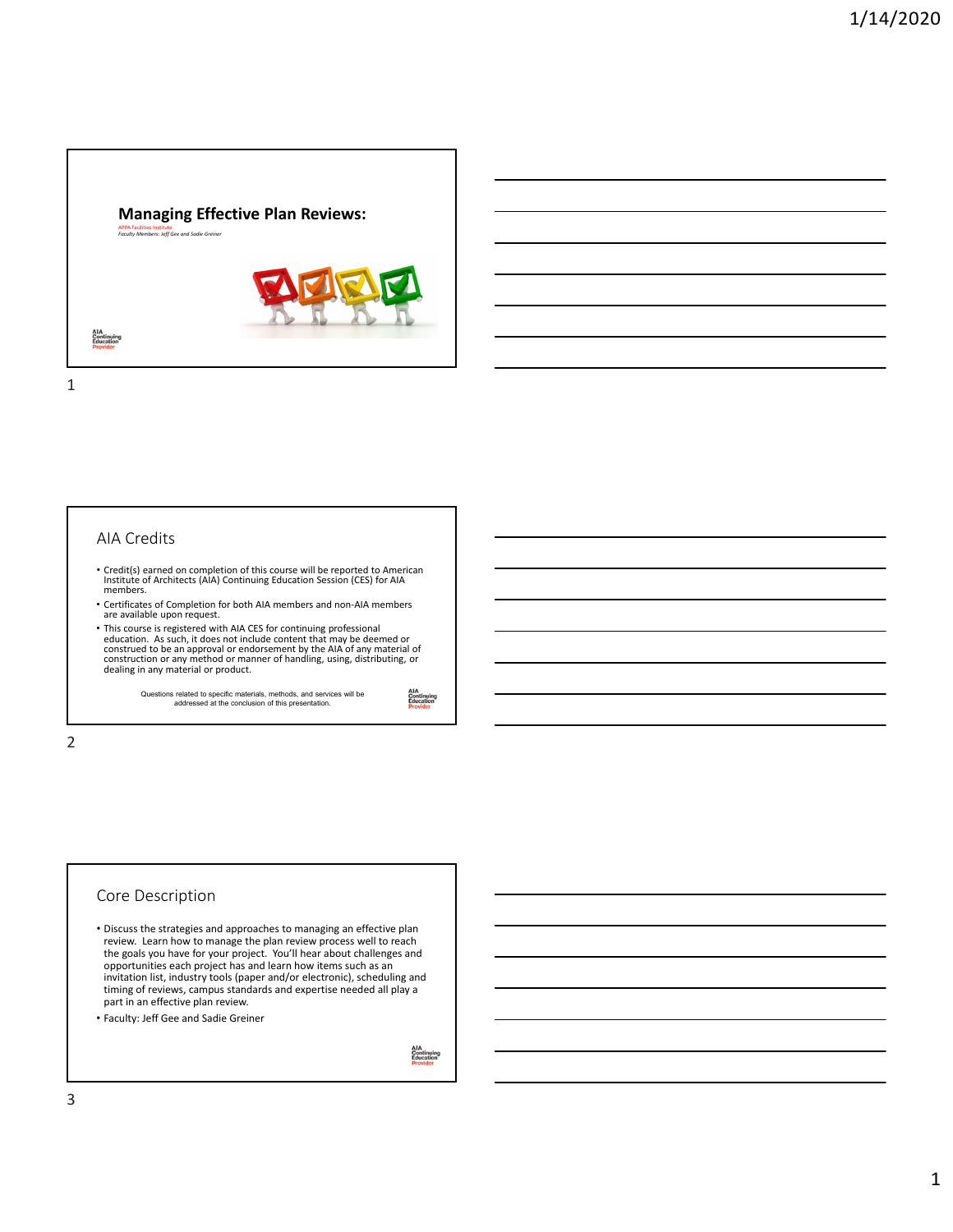# **Managing Effective Plan Reviews:**



1

#### AIA Credits

- Credit(s) earned on completion of this course will be reported to American Institute of Architects (AIA) Continuing Education Session (CES) for AIA members.
- Certificates of Completion for both AIA members and non‐AIA members are available upon request.
- This course is registered with AIA CES for continuing professional<br>education. As such, it does not include content that may be deemed or<br>construction oe an approval or endorsement by the AIA of any material of<br>constructi

Questions related to specific materials, methods, and services will be addressed at the conclusion of this presentation.

AIA<br>Continuing<br>Education

#### 2

# Core Description

- Discuss the strategies and approaches to managing an effective plan review. Learn how to manage the plan review process well to reach the goals you have for your project. You'll hear about challenges and opportunities each project has and learn how items such as an invitation list, industry tools (paper and/or electronic), scheduling and timing of reviews, campus standards and expertise needed all play a part in an effective plan review.
- Faculty: Jeff Gee and Sadie Greiner

AIA<br>Continuing<br>Education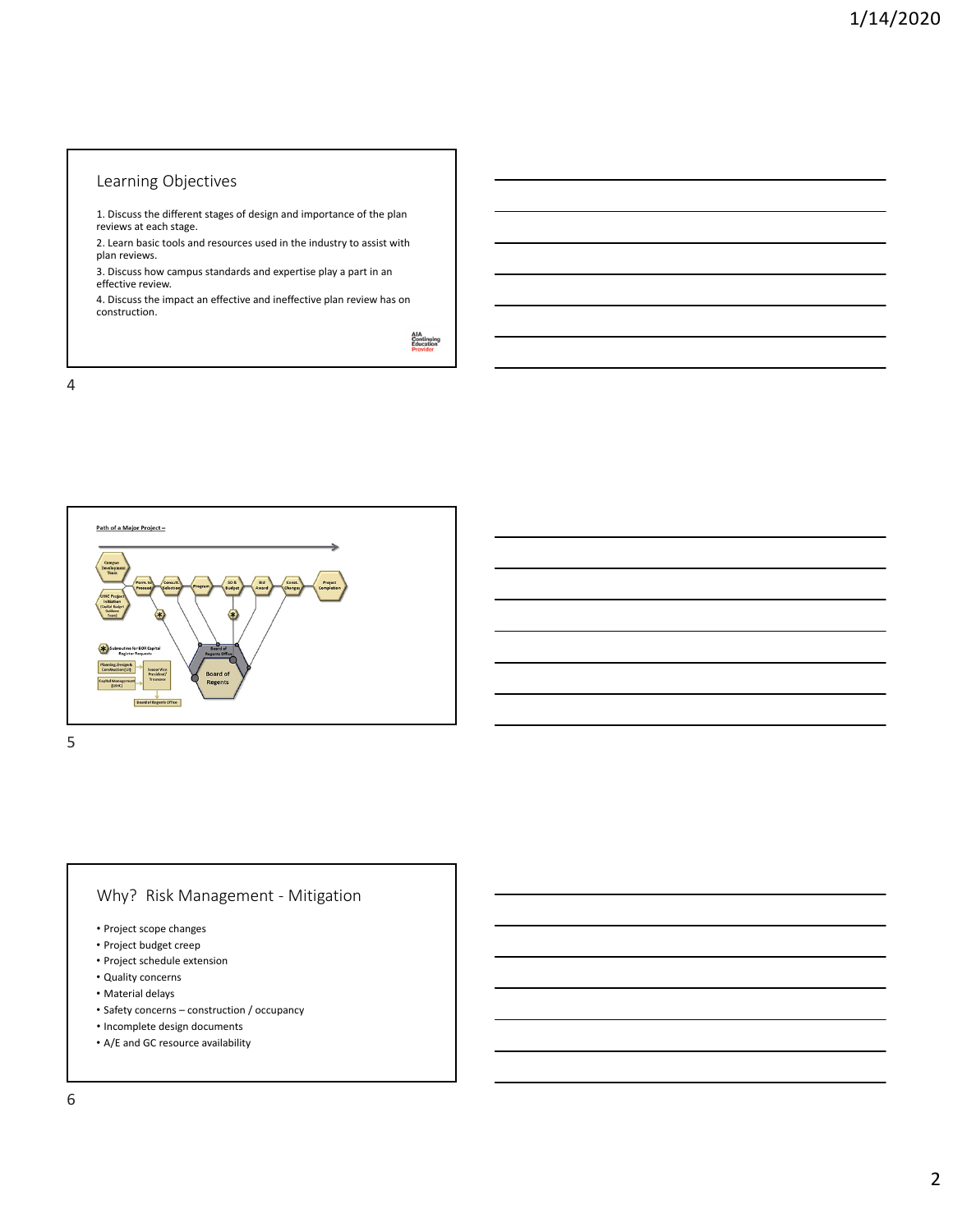# Learning Objectives

- 1. Discuss the different stages of design and importance of the plan reviews at each stage.
- 2. Learn basic tools and resources used in the industry to assist with plan reviews.
- 3. Discuss how campus standards and expertise play a part in an effective review.
- 4. Discuss the impact an effective and ineffective plan review has on construction.

AIA<br>Continuing<br>Education



5

# Why? Risk Management - Mitigation

- Project scope changes
- Project budget creep
- Project schedule extension
- Quality concerns
- Material delays
- Safety concerns construction / occupancy
- Incomplete design documents
- A/E and GC resource availability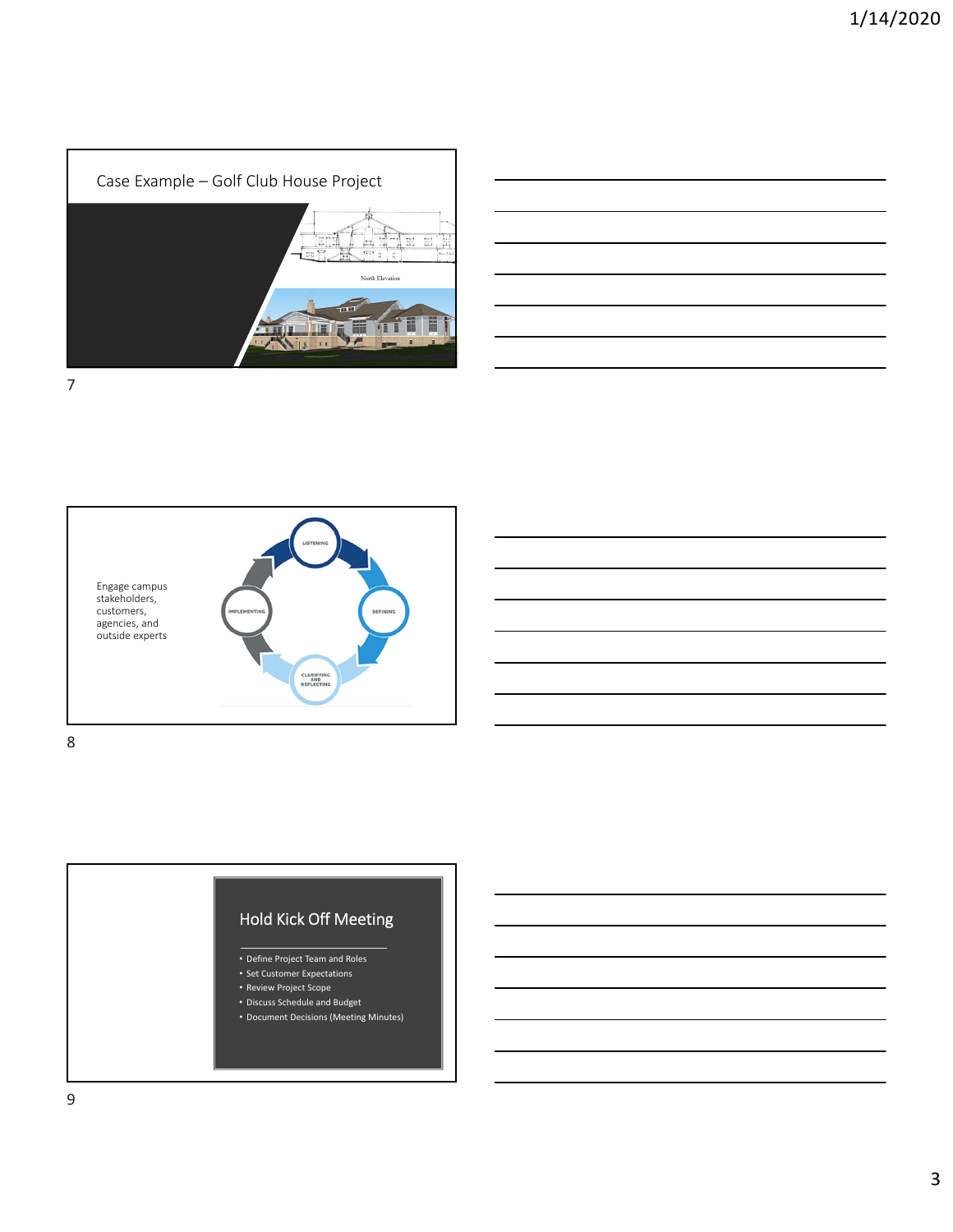



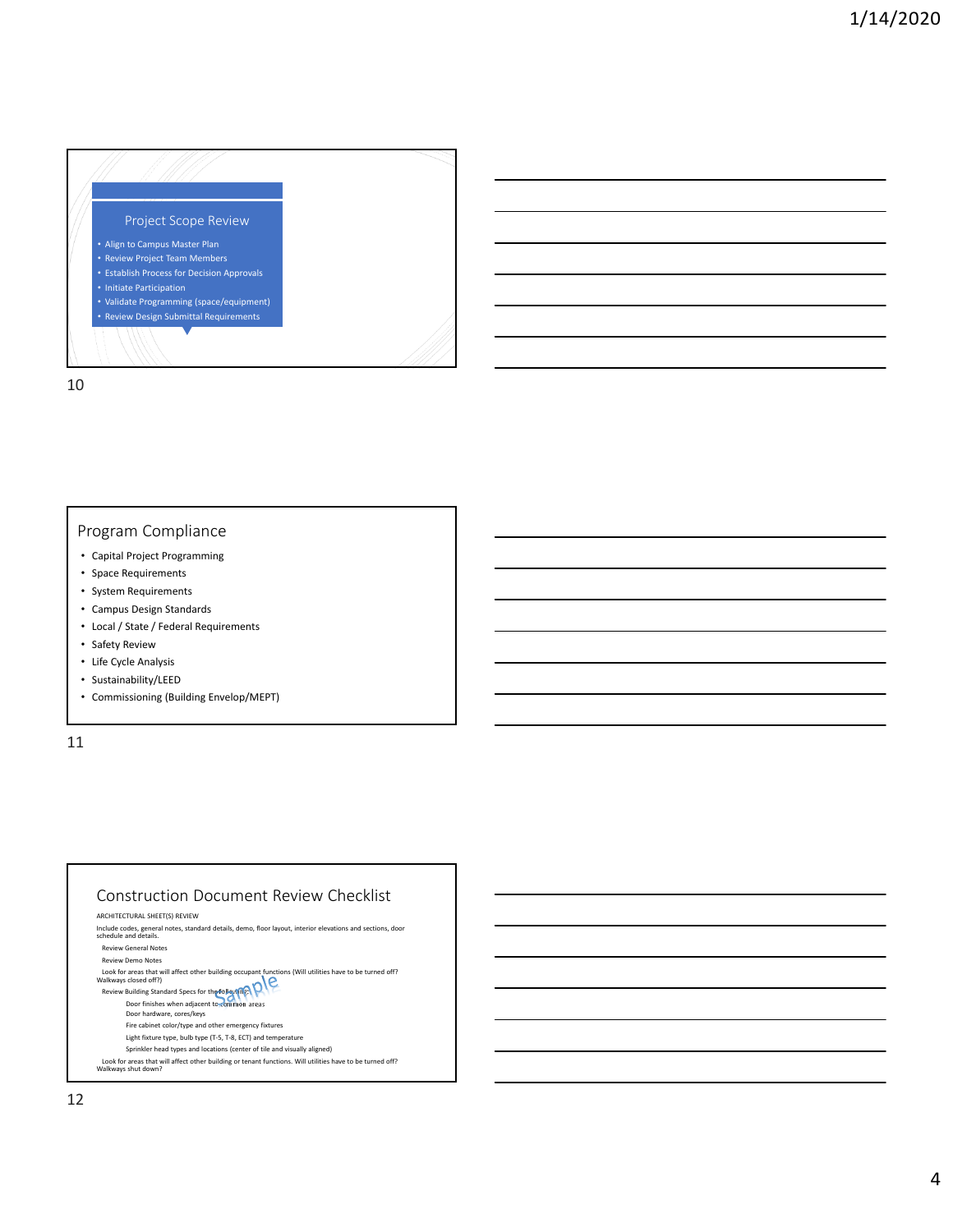

10

#### Program Compliance

- Capital Project Programming
- Space Requirements
- System Requirements
- Campus Design Standards
- Local / State / Federal Requirements
- Safety Review
- Life Cycle Analysis
- Sustainability/LEED
- Commissioning (Building Envelop/MEPT)

11

#### Construction Document Review Checklist ARCHITECTURAL SHEET(S) REVIEW Include codes, general notes, standard details, demo, floor layout, interior elevations and sections, door schedule and details. Review General Notes Review Demo Notes Look for areas that will affect other building occupant functions (Will utilities have to be turned off? Walkways closed off?) Review Building Standard Specs for the following:<br>Door finishes when adjacent to common areas<br>Door hardware, cores/keys Fire cabinet color/type and other emergency fixtures Light fixture type, bulb type (T‐5, T‐8, ECT) and temperature Sprinkler head types and locations (center of tile and visually aligned) Look for areas that will affect other building or tenant functions. Will utilities have to be turned off? Walkways shut down?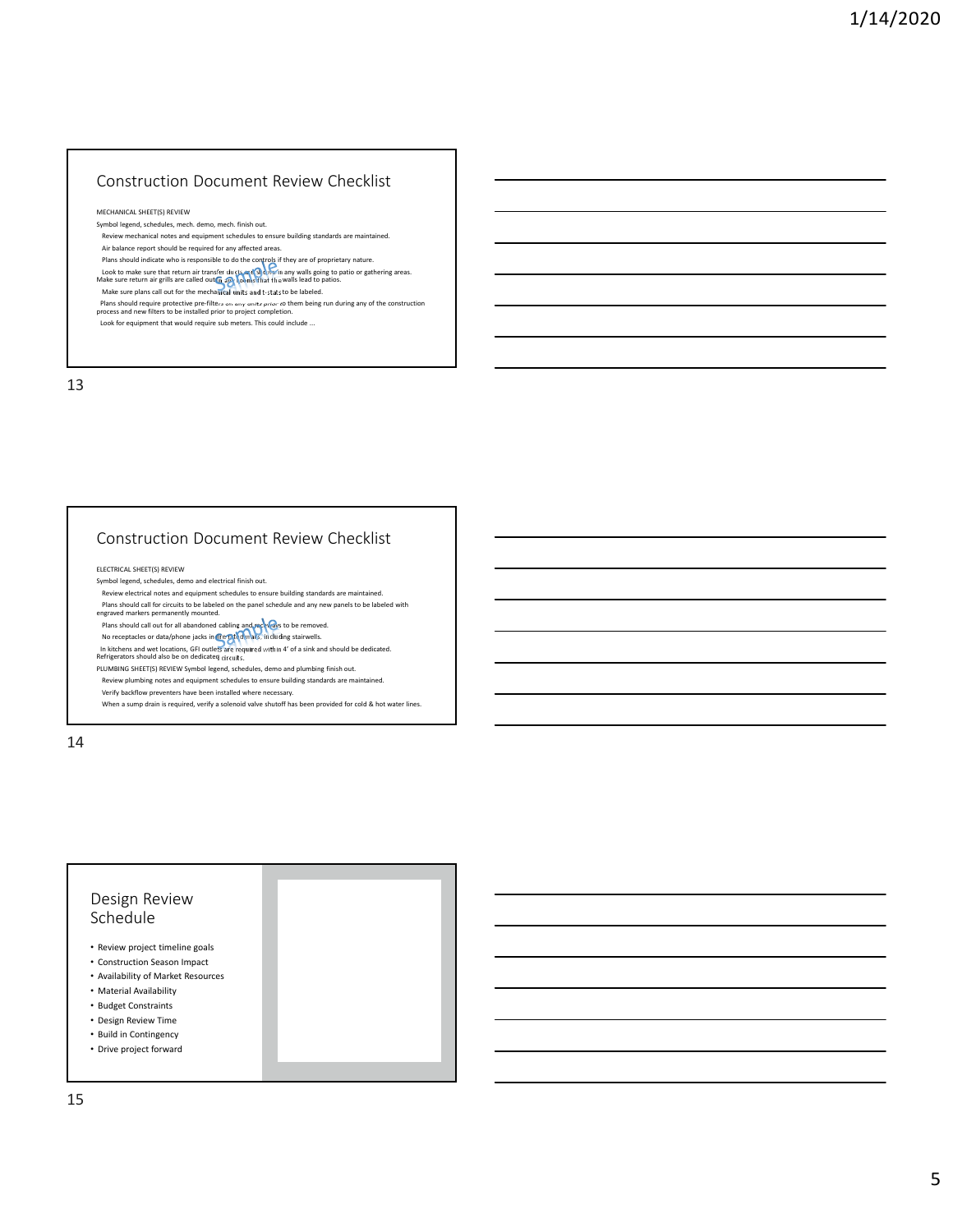## Construction Document Review Checklist

#### MECHANICAL SHEET(S) REVIEW

Symbol legend, schedules, mech. demo, mech. finish out. Review mechanical notes and equipment schedules to ensure building standards are maintained. Air balance report should be required for any affected areas. Plans should indicate who is responsible to do the controls if they are of proprietary nature.<br>Look to make sure that return air transfer duck, welch when any walls going to patio or gathering areas.<br>Make sure return air

Plans should require protective pre‐filters on any units prior to them being run during any of the construction process and new filters to be installed prior to project completion.

Look for equipment that would require sub meters. This could include ...

13

#### Construction Document Review Checklist

ELECTRICAL SHEET(S) REVIEW

Symbol legend, schedules, demo and electrical finish out.

 Review electrical notes and equipment schedules to ensure building standards are maintained. Plans should call for circuits to be labeled on the panel schedule and any new panels to be labeled with<br>engraved markers permanently mounted.

engraved markers permanently mounted.<br>
Plans should call out for all abandoned cabling and received is to be removed.<br>
In kitchens and wet locations, GFI outle's are required within 4' of a sink and should be dedicated.<br>
I

PLUMBING SHEET(S) REVIEW Symbol legend, schedules, demo and plumbing finish out.

Review plumbing notes and equipment schedules to ensure building standards are maintained.

Verify backflow preventers have been installed where necessary.

When a sump drain is required, verify a solenoid valve shutoff has been provided for cold & hot water lines.

14

## Design Review Schedule

- Review project timeline goals
- Construction Season Impact
- Availability of Market Resources
- Material Availability
- Budget Constraints
- Design Review Time
- Build in Contingency
- Drive project forward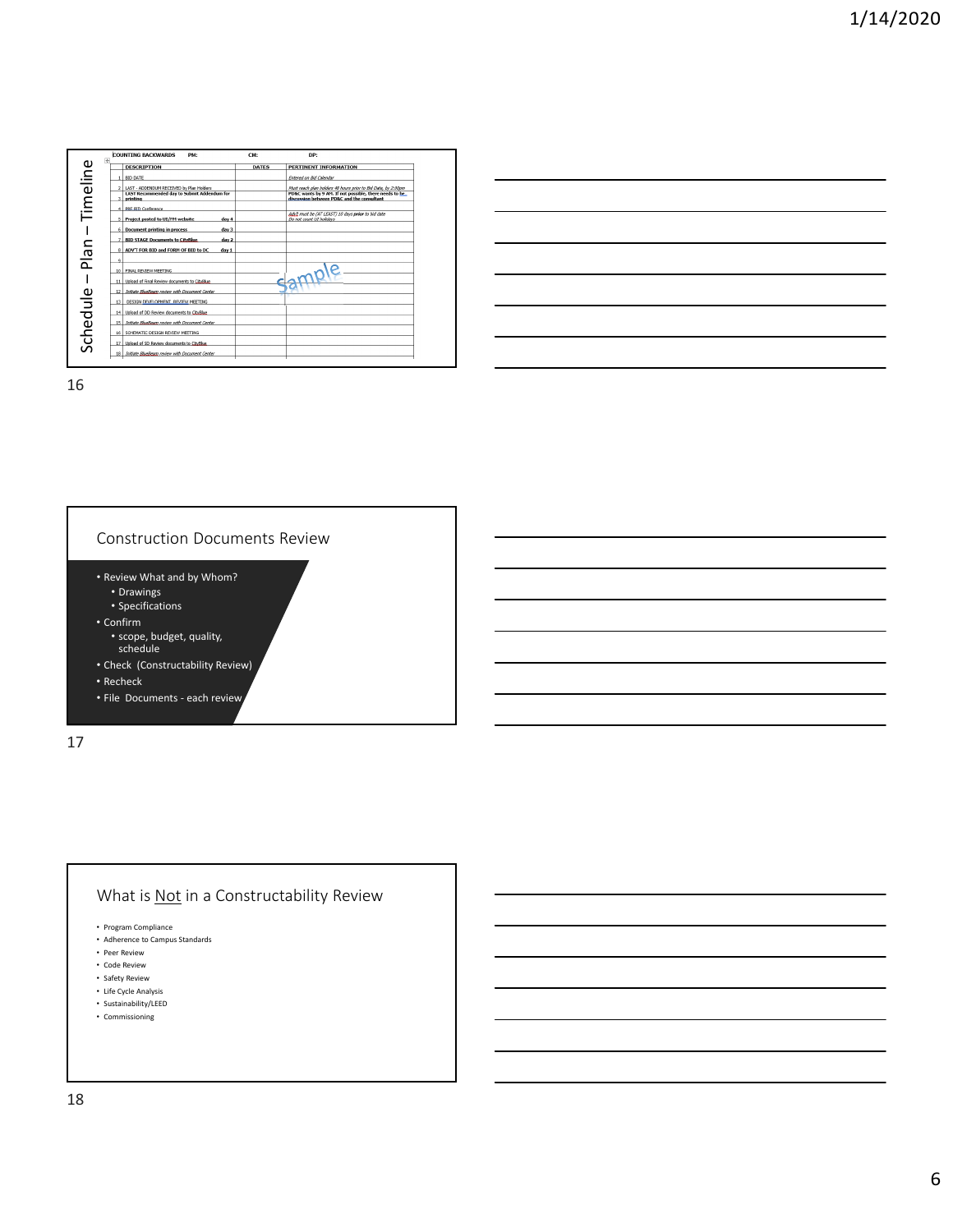|          | <b>COUNTING BACKWARDS</b><br>PM:<br>$\left\vert \frac{1}{4}\right\rangle$                   | CM:          | DP:                                                                                                                     |
|----------|---------------------------------------------------------------------------------------------|--------------|-------------------------------------------------------------------------------------------------------------------------|
|          | <b>DESCRIPTION</b>                                                                          | <b>DATES</b> | PERTINENT INFORMATION                                                                                                   |
|          | <b>BID DATE</b>                                                                             |              | Entered on Bid Calendar                                                                                                 |
| Timeline | 2   LAST - ADDENDUM RECEIVED by Plan Holders<br>LAST Recommended day to Submit Addendum for |              | Must reach plan holders 48 hours prior to Bid Date. by 2:00pm<br>PD&C wants by 9 AM. If not possible, there needs to be |
|          | 3<br>printing                                                                               |              | discussion between PD&C and the consultant                                                                              |
|          | 4 PRE BID Conference                                                                        |              |                                                                                                                         |
|          | 5<br>Project posted to UI/FM website<br>day 4                                               |              | Adv2 must be (AT LEAST) 10 days prior to bid date<br>Do not count UI holidays                                           |
|          | day 3<br>6 Document printing in process                                                     |              |                                                                                                                         |
|          | z<br><b>BID STAGE Documents to CityBlue</b><br>day 2                                        |              |                                                                                                                         |
| Plan     | 8<br>ADV'T FOR BID and FORM OF BID to DC<br>day 1                                           |              |                                                                                                                         |
|          | $\circ$                                                                                     |              |                                                                                                                         |
|          | 10 <sup>1</sup><br>FINAL REVIEW MEETING                                                     |              |                                                                                                                         |
|          | 11 Upload of Final Review documents to CityBlue                                             |              |                                                                                                                         |
|          | Initiate BlueBeam review with Document Center<br>12                                         |              |                                                                                                                         |
|          | 13<br>DESIGN DEVELOPMENT REVIEW MEETING                                                     |              |                                                                                                                         |
|          | 14 Upload of DD Review documents to CityBlue                                                |              |                                                                                                                         |
|          | 15 Initiate BlueBeam review with Document Center                                            |              |                                                                                                                         |
|          | 16 SCHEMATIC DESIGN REVIEW MEETING                                                          |              |                                                                                                                         |
| Schedule | 17 Upload of SD Review documents to CityBlue                                                |              |                                                                                                                         |
|          | 18 Initiate BlueBeam review with Document Center                                            |              |                                                                                                                         |





- Program Compliance
- Adherence to Campus Standards
- Peer Review • Code Review
- Safety Review
- Life Cycle Analysis
- Sustainability/LEED
- Commissioning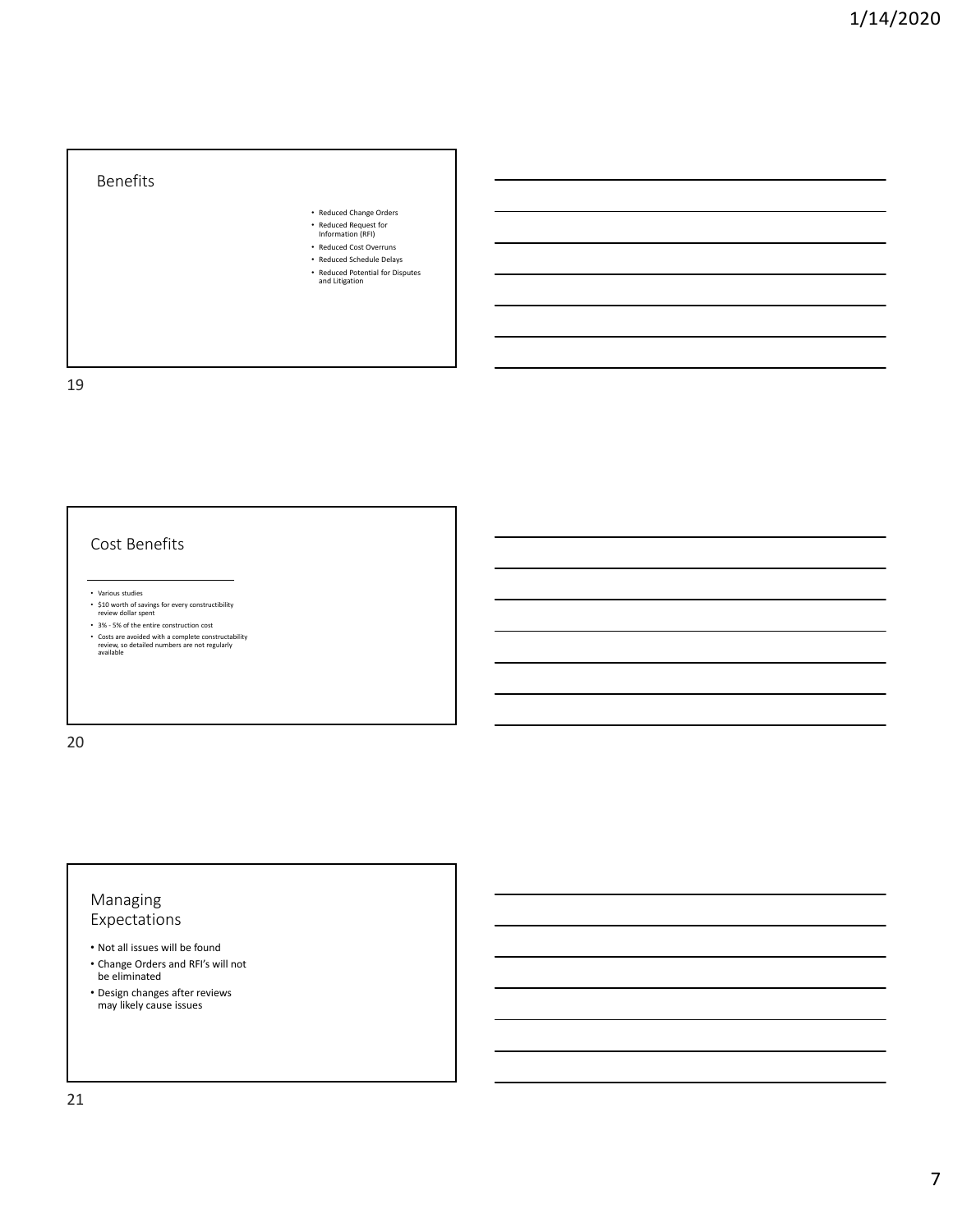## Benefits

|  | <b>Reduced Change Orders</b> |  |  |
|--|------------------------------|--|--|
|--|------------------------------|--|--|

- Reduced Request for Information (RFI)
- Reduced Cost Overruns
- Reduced Schedule Delays
- Reduced Potential for Disputes and Litigation

19

## Cost Benefits

- Various studies
- \$10 worth of savings for every constructibility review dollar spent
- 3% ‐ 5% of the entire construction cost
- Costs are avoided with a complete constructability review, so detailed numbers are not regularly available

20

## Managing Expectations

- Not all issues will be found
- Change Orders and RFI's will not be eliminated
- Design changes after reviews may likely cause issues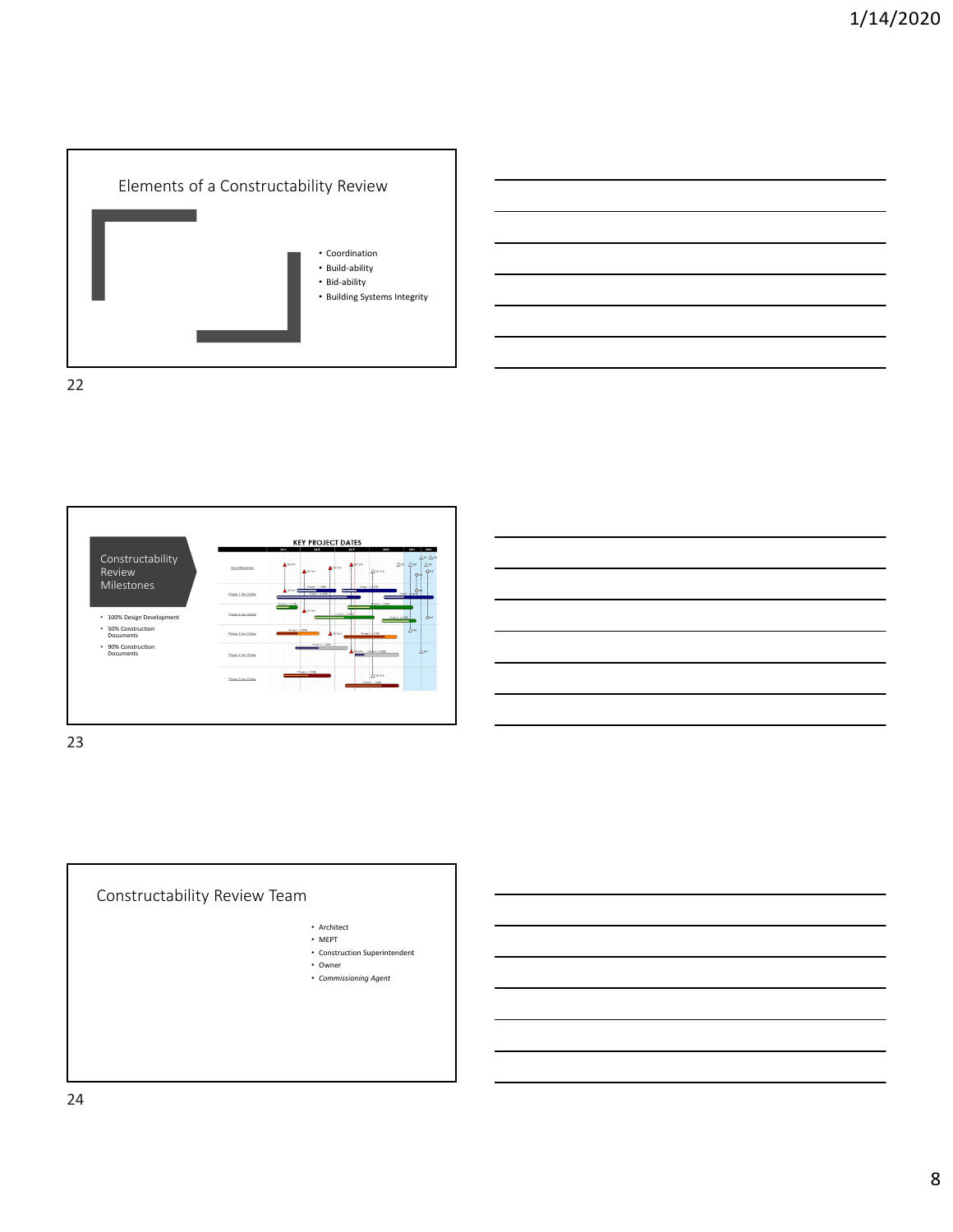



23

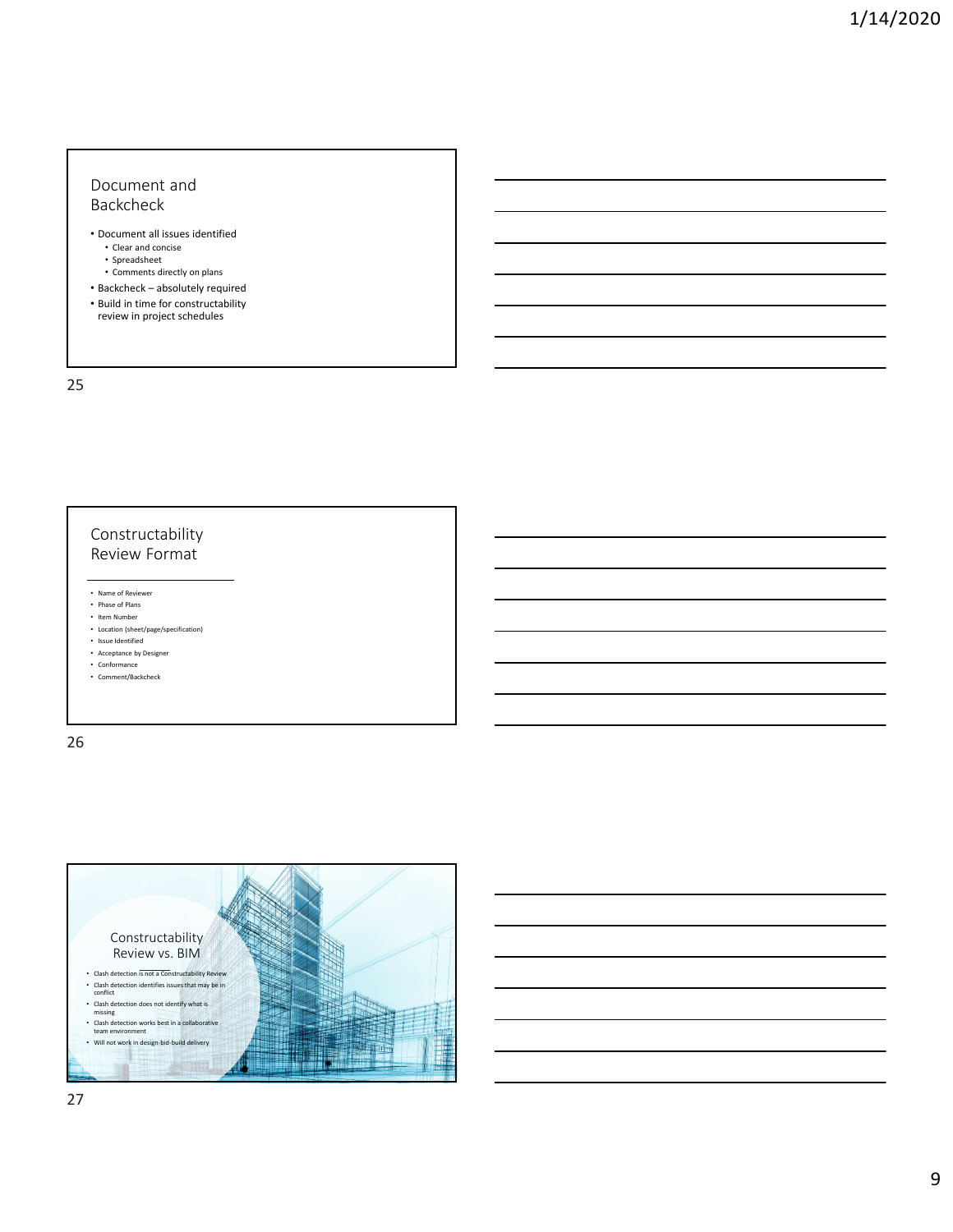#### Document and Backcheck

- Document all issues identified • Clear and concise
	- Spreadsheet
	- Comments directly on plans
- Backcheck absolutely required
- Build in time for constructability review in project schedules

25

## Constructability Review Format

- Name of Reviewer
- Phase of Plans
- Item Number
- Location (sheet/page/specification) • Issue Identified
- Acceptance by Designer
- Conformance
- Comment/Backcheck

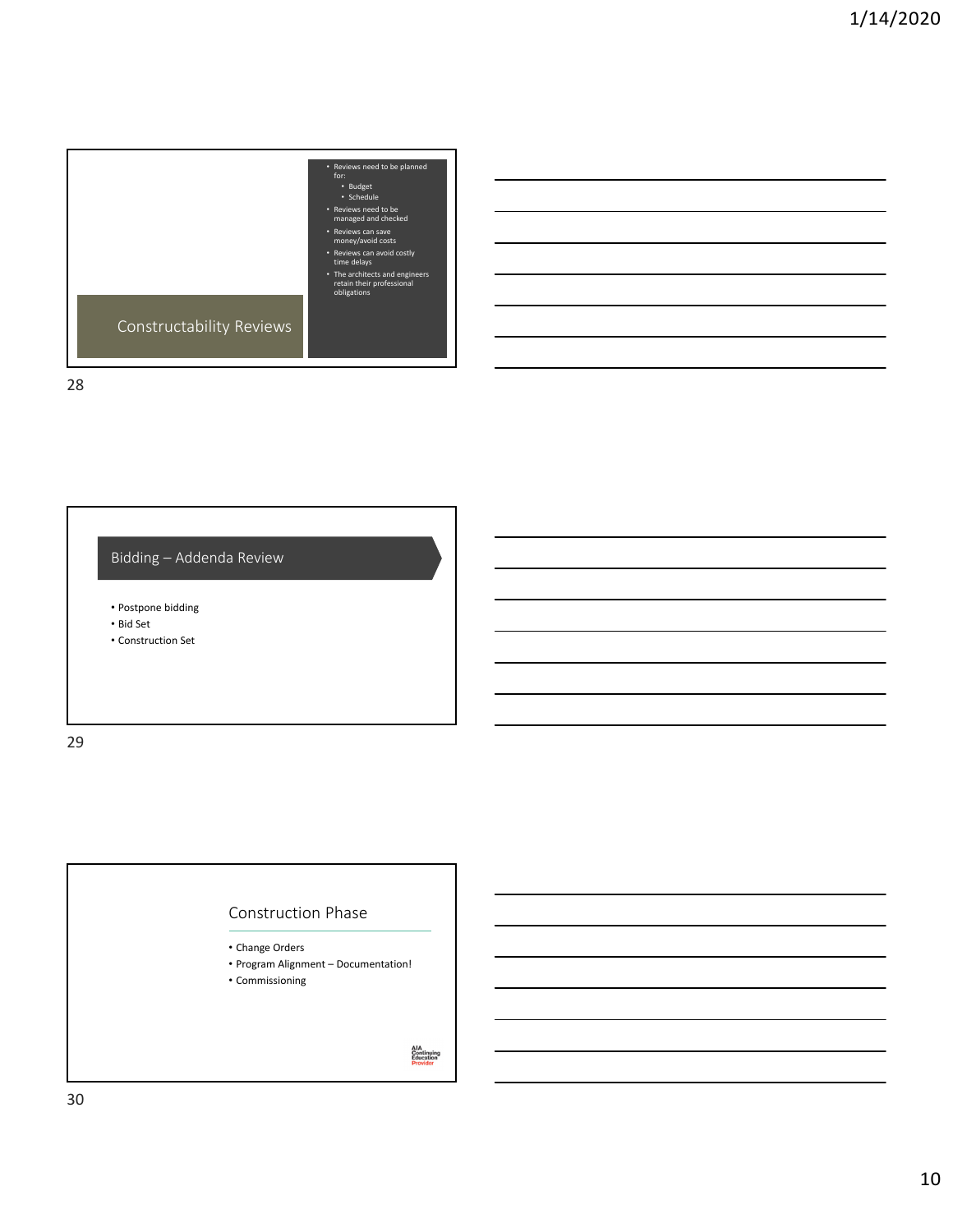

| the control of the control of the control of the control of the control of the control of the control of the control of the control of the control of the control of the control of the control of the control of the control |  | ______ |
|-------------------------------------------------------------------------------------------------------------------------------------------------------------------------------------------------------------------------------|--|--------|
|                                                                                                                                                                                                                               |  |        |
|                                                                                                                                                                                                                               |  |        |
|                                                                                                                                                                                                                               |  |        |

# Bidding – Addenda Review

- Postpone bidding
- Bid Set
- Construction Set